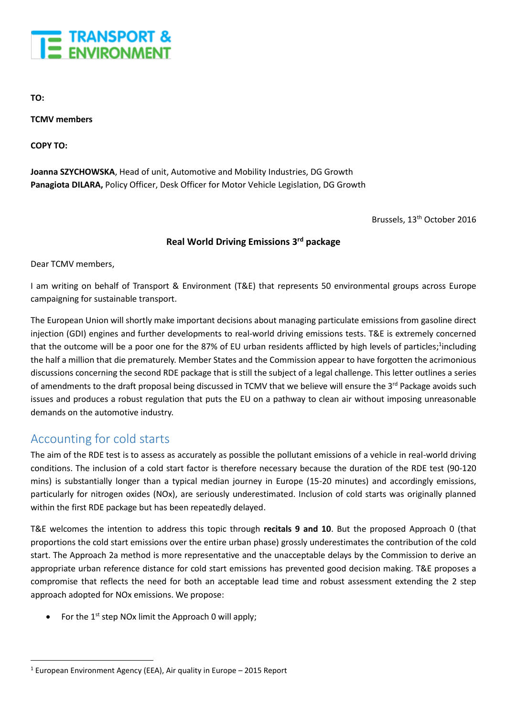

**TO:**

**TCMV members**

**COPY TO:**

**Joanna SZYCHOWSKA**, Head of unit, Automotive and Mobility Industries, DG Growth **Panagiota DILARA,** Policy Officer, Desk Officer for Motor Vehicle Legislation, DG Growth

Brussels, 13<sup>th</sup> October 2016

#### **Real World Driving Emissions 3 rd package**

Dear TCMV members,

I am writing on behalf of Transport & Environment (T&E) that represents 50 environmental groups across Europe campaigning for sustainable transport.

The European Union will shortly make important decisions about managing particulate emissions from gasoline direct injection (GDI) engines and further developments to real-world driving emissions tests. T&E is extremely concerned that the outcome will be a poor one for the 87% of EU urban residents afflicted by high levels of particles;<sup>1</sup>including the half a million that die prematurely. Member States and the Commission appear to have forgotten the acrimonious discussions concerning the second RDE package that is still the subject of a legal challenge. This letter outlines a series of amendments to the draft proposal being discussed in TCMV that we believe will ensure the 3<sup>rd</sup> Package avoids such issues and produces a robust regulation that puts the EU on a pathway to clean air without imposing unreasonable demands on the automotive industry.

#### Accounting for cold starts

1

The aim of the RDE test is to assess as accurately as possible the pollutant emissions of a vehicle in real-world driving conditions. The inclusion of a cold start factor is therefore necessary because the duration of the RDE test (90-120 mins) is substantially longer than a typical median journey in Europe (15-20 minutes) and accordingly emissions, particularly for nitrogen oxides (NOx), are seriously underestimated. Inclusion of cold starts was originally planned within the first RDE package but has been repeatedly delayed.

T&E welcomes the intention to address this topic through **recitals 9 and 10**. But the proposed Approach 0 (that proportions the cold start emissions over the entire urban phase) grossly underestimates the contribution of the cold start. The Approach 2a method is more representative and the unacceptable delays by the Commission to derive an appropriate urban reference distance for cold start emissions has prevented good decision making. T&E proposes a compromise that reflects the need for both an acceptable lead time and robust assessment extending the 2 step approach adopted for NOx emissions. We propose:

For the  $1<sup>st</sup>$  step NOx limit the Approach 0 will apply;

<sup>1</sup> European Environment Agency (EEA), Air quality in Europe – 2015 Report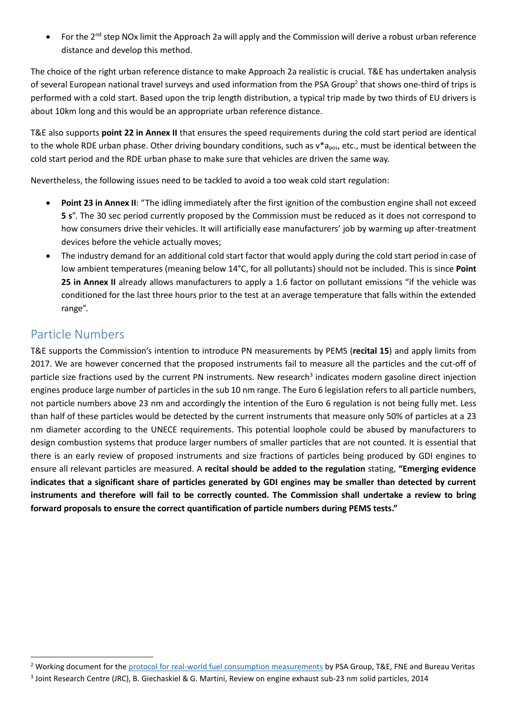For the 2<sup>nd</sup> step NOx limit the Approach 2a will apply and the Commission will derive a robust urban reference distance and develop this method.

The choice of the right urban reference distance to make Approach 2a realistic is crucial. T&E has undertaken analysis of several European national travel surveys and used information from the PSA Group<sup>2</sup> that shows one-third of trips is performed with a cold start. Based upon the trip length distribution, a typical trip made by two thirds of EU drivers is about 10km long and this would be an appropriate urban reference distance.

T&E also supports **point 22 in Annex II** that ensures the speed requirements during the cold start period are identical to the whole RDE urban phase. Other driving boundary conditions, such as  $v*_{\text{a}}$ <sub>pos</sub>, etc., must be identical between the cold start period and the RDE urban phase to make sure that vehicles are driven the same way.

Nevertheless, the following issues need to be tackled to avoid a too weak cold start regulation:

- **Point 23 in Annex II**: "The idling immediately after the first ignition of the combustion engine shall not exceed **5 s**". The 30 sec period currently proposed by the Commission must be reduced as it does not correspond to how consumers drive their vehicles. It will artificially ease manufacturers' job by warming up after-treatment devices before the vehicle actually moves;
- The industry demand for an additional cold start factor that would apply during the cold start period in case of low ambient temperatures (meaning below 14°C, for all pollutants) should not be included. This is since **Point 25 in Annex II** already allows manufacturers to apply a 1.6 factor on pollutant emissions "if the vehicle was conditioned for the last three hours prior to the test at an average temperature that falls within the extended range".

### Particle Numbers

 $\overline{a}$ 

T&E supports the Commission's intention to introduce PN measurements by PEMS (**recital 15**) and apply limits from 2017. We are however concerned that the proposed instruments fail to measure all the particles and the cut-off of particle size fractions used by the current PN instruments. New research<sup>3</sup> indicates modern gasoline direct injection engines produce large number of particles in the sub 10 nm range. The Euro 6 legislation refers to all particle numbers, not particle numbers above 23 nm and accordingly the intention of the Euro 6 regulation is not being fully met. Less than half of these particles would be detected by the current instruments that measure only 50% of particles at a 23 nm diameter according to the UNECE requirements. This potential loophole could be abused by manufacturers to design combustion systems that produce larger numbers of smaller particles that are not counted. It is essential that there is an early review of proposed instruments and size fractions of particles being produced by GDI engines to ensure all relevant particles are measured. A **recital should be added to the regulation** stating, **"Emerging evidence indicates that a significant share of particles generated by GDI engines may be smaller than detected by current instruments and therefore will fail to be correctly counted. The Commission shall undertake a review to bring forward proposals to ensure the correct quantification of particle numbers during PEMS tests."**

<sup>&</sup>lt;sup>2</sup> Working document for the [protocol for real-world fuel consumption measurements](https://www.transportenvironment.org/press/psa-group-ngos-te-and-fne-and-bureau-veritas-publish-protocol-measuring-real-world-fuel) by PSA Group, T&E, FNE and Bureau Veritas

<sup>3</sup> Joint Research Centre (JRC), B. Giechaskiel & G. Martini, Review on engine exhaust sub-23 nm solid particles, 2014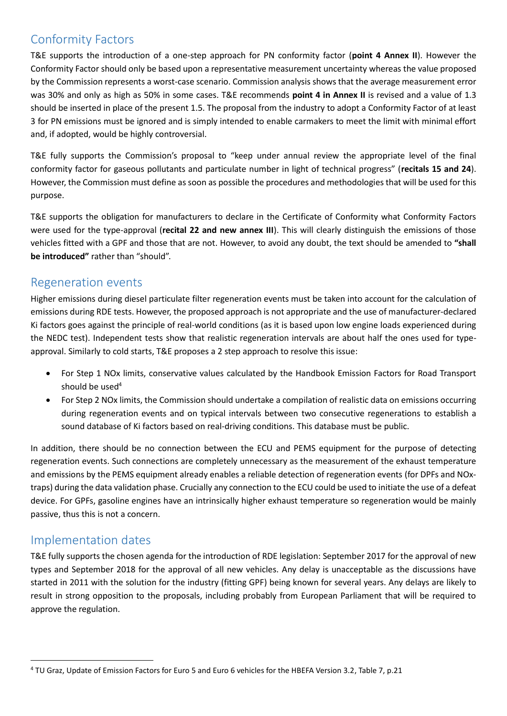## Conformity Factors

T&E supports the introduction of a one-step approach for PN conformity factor (**point 4 Annex II**). However the Conformity Factor should only be based upon a representative measurement uncertainty whereas the value proposed by the Commission represents a worst-case scenario. Commission analysis shows that the average measurement error was 30% and only as high as 50% in some cases. T&E recommends **point 4 in Annex II** is revised and a value of 1.3 should be inserted in place of the present 1.5. The proposal from the industry to adopt a Conformity Factor of at least 3 for PN emissions must be ignored and is simply intended to enable carmakers to meet the limit with minimal effort and, if adopted, would be highly controversial.

T&E fully supports the Commission's proposal to "keep under annual review the appropriate level of the final conformity factor for gaseous pollutants and particulate number in light of technical progress" (**recitals 15 and 24**). However, the Commission must define as soon as possible the procedures and methodologies that will be used for this purpose.

T&E supports the obligation for manufacturers to declare in the Certificate of Conformity what Conformity Factors were used for the type-approval (**recital 22 and new annex III**). This will clearly distinguish the emissions of those vehicles fitted with a GPF and those that are not. However, to avoid any doubt, the text should be amended to **"shall be introduced"** rather than "should".

### Regeneration events

Higher emissions during diesel particulate filter regeneration events must be taken into account for the calculation of emissions during RDE tests. However, the proposed approach is not appropriate and the use of manufacturer-declared Ki factors goes against the principle of real-world conditions (as it is based upon low engine loads experienced during the NEDC test). Independent tests show that realistic regeneration intervals are about half the ones used for typeapproval. Similarly to cold starts, T&E proposes a 2 step approach to resolve this issue:

- For Step 1 NOx limits, conservative values calculated by the Handbook Emission Factors for Road Transport should be used<sup>4</sup>
- For Step 2 NOx limits, the Commission should undertake a compilation of realistic data on emissions occurring during regeneration events and on typical intervals between two consecutive regenerations to establish a sound database of Ki factors based on real-driving conditions. This database must be public.

In addition, there should be no connection between the ECU and PEMS equipment for the purpose of detecting regeneration events. Such connections are completely unnecessary as the measurement of the exhaust temperature and emissions by the PEMS equipment already enables a reliable detection of regeneration events (for DPFs and NOxtraps) during the data validation phase. Crucially any connection to the ECU could be used to initiate the use of a defeat device. For GPFs, gasoline engines have an intrinsically higher exhaust temperature so regeneration would be mainly passive, thus this is not a concern.

### Implementation dates

1

T&E fully supports the chosen agenda for the introduction of RDE legislation: September 2017 for the approval of new types and September 2018 for the approval of all new vehicles. Any delay is unacceptable as the discussions have started in 2011 with the solution for the industry (fitting GPF) being known for several years. Any delays are likely to result in strong opposition to the proposals, including probably from European Parliament that will be required to approve the regulation.

<sup>4</sup> TU Graz, Update of Emission Factors for Euro 5 and Euro 6 vehicles for the HBEFA Version 3.2, Table 7, p.21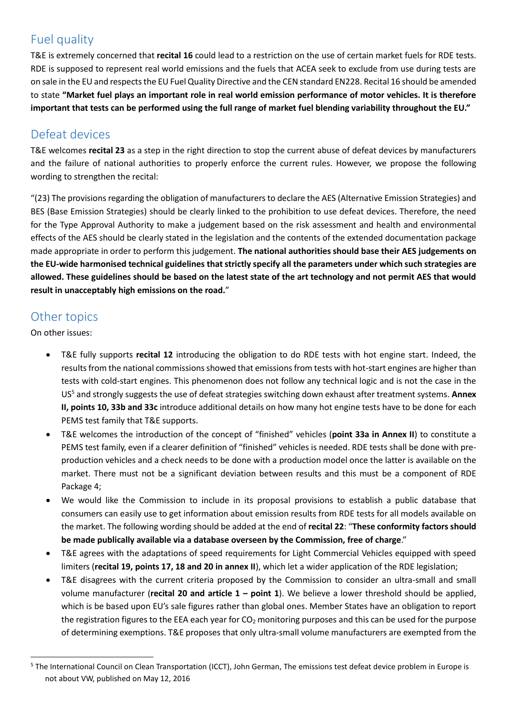# Fuel quality

T&E is extremely concerned that **recital 16** could lead to a restriction on the use of certain market fuels for RDE tests. RDE is supposed to represent real world emissions and the fuels that ACEA seek to exclude from use during tests are on sale in the EU and respects the EU Fuel Quality Directive and the CEN standard EN228. Recital 16 should be amended to state **"Market fuel plays an important role in real world emission performance of motor vehicles. It is therefore important that tests can be performed using the full range of market fuel blending variability throughout the EU."**

## Defeat devices

T&E welcomes **recital 23** as a step in the right direction to stop the current abuse of defeat devices by manufacturers and the failure of national authorities to properly enforce the current rules. However, we propose the following wording to strengthen the recital:

"(23) The provisions regarding the obligation of manufacturers to declare the AES (Alternative Emission Strategies) and BES (Base Emission Strategies) should be clearly linked to the prohibition to use defeat devices. Therefore, the need for the Type Approval Authority to make a judgement based on the risk assessment and health and environmental effects of the AES should be clearly stated in the legislation and the contents of the extended documentation package made appropriate in order to perform this judgement. **The national authorities should base their AES judgements on the EU-wide harmonised technical guidelines that strictly specify all the parameters under which such strategies are allowed. These guidelines should be based on the latest state of the art technology and not permit AES that would result in unacceptably high emissions on the road.**"

## Other topics

On other issues:

 $\overline{a}$ 

- T&E fully supports **recital 12** introducing the obligation to do RDE tests with hot engine start. Indeed, the results from the national commissions showed that emissions from tests with hot-start engines are higher than tests with cold-start engines. This phenomenon does not follow any technical logic and is not the case in the US<sup>5</sup> and strongly suggests the use of defeat strategies switching down exhaust after treatment systems. **Annex II, points 10, 33b and 33c** introduce additional details on how many hot engine tests have to be done for each PEMS test family that T&E supports.
- T&E welcomes the introduction of the concept of "finished" vehicles (**point 33a in Annex II**) to constitute a PEMS test family, even if a clearer definition of "finished" vehicles is needed. RDE tests shall be done with preproduction vehicles and a check needs to be done with a production model once the latter is available on the market. There must not be a significant deviation between results and this must be a component of RDE Package 4;
- We would like the Commission to include in its proposal provisions to establish a public database that consumers can easily use to get information about emission results from RDE tests for all models available on the market. The following wording should be added at the end of **recital 22**: "**These conformity factors should be made publically available via a database overseen by the Commission, free of charge**."
- T&E agrees with the adaptations of speed requirements for Light Commercial Vehicles equipped with speed limiters (**recital 19, points 17, 18 and 20 in annex II**), which let a wider application of the RDE legislation;
- T&E disagrees with the current criteria proposed by the Commission to consider an ultra-small and small volume manufacturer (**recital 20 and article 1 – point 1**). We believe a lower threshold should be applied, which is be based upon EU's sale figures rather than global ones. Member States have an obligation to report the registration figures to the EEA each year for  $CO<sub>2</sub>$  monitoring purposes and this can be used for the purpose of determining exemptions. T&E proposes that only ultra-small volume manufacturers are exempted from the

<sup>&</sup>lt;sup>5</sup> The International Council on Clean Transportation (ICCT), John German, The emissions test defeat device problem in Europe is not about VW, published on May 12, 2016